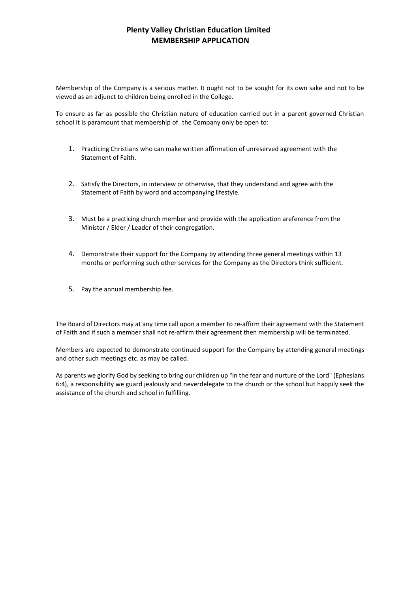Membership of the Company is a serious matter. It ought not to be sought for its own sake and not to be viewed as an adjunct to children being enrolled in the College.

To ensure as far as possible the Christian nature of education carried out in a parent governed Christian school it is paramount that membership of the Company only be open to:

- 1. Practicing Christians who can make written affirmation of unreserved agreement with the Statement of Faith.
- 2. Satisfy the Directors, in interview or otherwise, that they understand and agree with the Statement of Faith by word and accompanying lifestyle.
- 3. Must be a practicing church member and provide with the application areference from the Minister / Elder / Leader of their congregation.
- 4. Demonstrate their support for the Company by attending three general meetings within 13 months or performing such other services for the Company as the Directors think sufficient.
- 5. Pay the annual membership fee.

The Board of Directors may at any time call upon a member to re-affirm their agreement with the Statement of Faith and if such a member shall not re-affirm their agreement then membership will be terminated.

Members are expected to demonstrate continued support for the Company by attending general meetings and other such meetings etc. as may be called.

As parents we glorify God by seeking to bring our children up "in the fear and nurture of the Lord" (Ephesians 6:4), a responsibility we guard jealously and neverdelegate to the church or the school but happily seek the assistance of the church and school in fulfilling.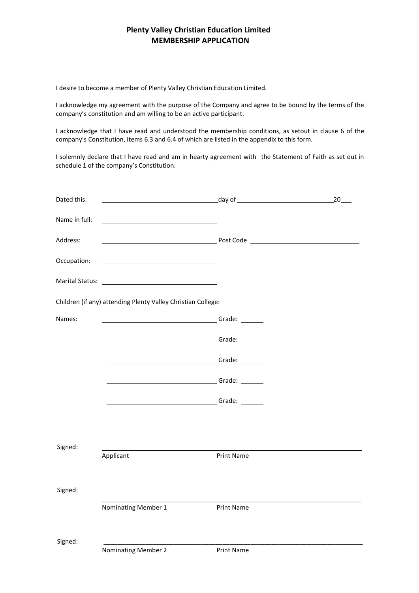I desire to become a member of Plenty Valley Christian Education Limited.

I acknowledge my agreement with the purpose of the Company and agree to be bound by the terms of the company's constitution and am willing to be an active participant.

I acknowledge that I have read and understood the membership conditions, as setout in clause 6 of the company's Constitution, items 6.3 and 6.4 of which are listed in the appendix to this form.

I solemnly declare that I have read and am in hearty agreement with the Statement of Faith as set out in schedule 1 of the company's Constitution.

| Dated this:                                                  |                                                                                                                                                                                                                                      | <u>day of the contract of the contract of the contract of the contract of the contract of the contract of the con</u> | $20$ $-$ |
|--------------------------------------------------------------|--------------------------------------------------------------------------------------------------------------------------------------------------------------------------------------------------------------------------------------|-----------------------------------------------------------------------------------------------------------------------|----------|
| Name in full:                                                |                                                                                                                                                                                                                                      |                                                                                                                       |          |
| Address:                                                     |                                                                                                                                                                                                                                      |                                                                                                                       |          |
| Occupation:                                                  | <u> 1989 - Johann Barbara, martin amerikan basar dan basa dan basa dan basa dalam basa dalam basa dalam basa dala</u>                                                                                                                |                                                                                                                       |          |
|                                                              |                                                                                                                                                                                                                                      |                                                                                                                       |          |
| Children (if any) attending Plenty Valley Christian College: |                                                                                                                                                                                                                                      |                                                                                                                       |          |
| Names:                                                       | <u>Grade: Contractor Contractor Contractor Contractor Contractor Contractor Contractor Contractor Contractor Contractor Contractor Contractor Contractor Contractor Contractor Contractor Contractor Contractor Contractor Contr</u> |                                                                                                                       |          |
|                                                              | <b>Marshall School School School School School School School School School School School School School School School</b>                                                                                                             |                                                                                                                       |          |
|                                                              |                                                                                                                                                                                                                                      |                                                                                                                       |          |
|                                                              |                                                                                                                                                                                                                                      |                                                                                                                       |          |
|                                                              | <u>Grade: Electronic Contractor Contractor Contractor Contractor Contractor Contractor Contractor Contractor Contractor Contractor Contractor Contractor Contractor Contractor Contractor Contractor Contractor Contractor Contr</u> |                                                                                                                       |          |
|                                                              |                                                                                                                                                                                                                                      |                                                                                                                       |          |
| Signed:                                                      |                                                                                                                                                                                                                                      |                                                                                                                       |          |
|                                                              | Applicant                                                                                                                                                                                                                            | Print Name                                                                                                            |          |
| Signed:                                                      |                                                                                                                                                                                                                                      |                                                                                                                       |          |
|                                                              |                                                                                                                                                                                                                                      |                                                                                                                       |          |
|                                                              | Nominating Member 1                                                                                                                                                                                                                  | Print Name                                                                                                            |          |
| Signed:                                                      |                                                                                                                                                                                                                                      |                                                                                                                       |          |
|                                                              | <b>Nominating Member 2</b>                                                                                                                                                                                                           | Print Name                                                                                                            |          |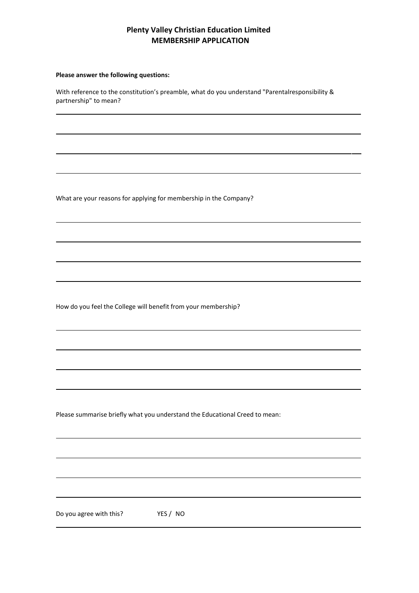#### **Please answer the following questions:**

With reference to the constitution's preamble, what do you understand "Parentalresponsibility & partnership" to mean?

What are your reasons for applying for membership in the Company?

How do you feel the College will benefit from your membership?

Please summarise briefly what you understand the Educational Creed to mean:

Do you agree with this? YES / NO